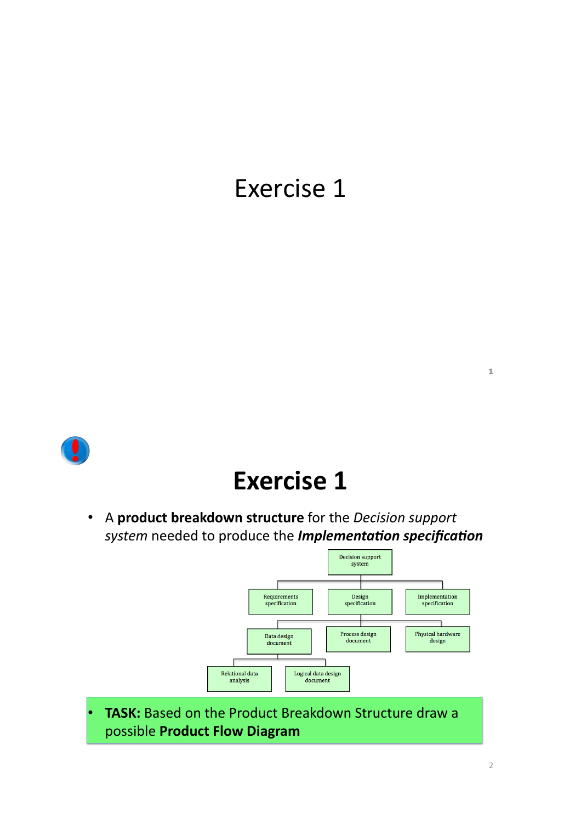

### **Exercise 1**

A product breakdown structure for the Decision support  $\bullet$ system needed to produce the Implementation specification



**TASK:** Based on the Product Breakdown Structure draw a possible Product Flow Diagram

 $\bar{1}$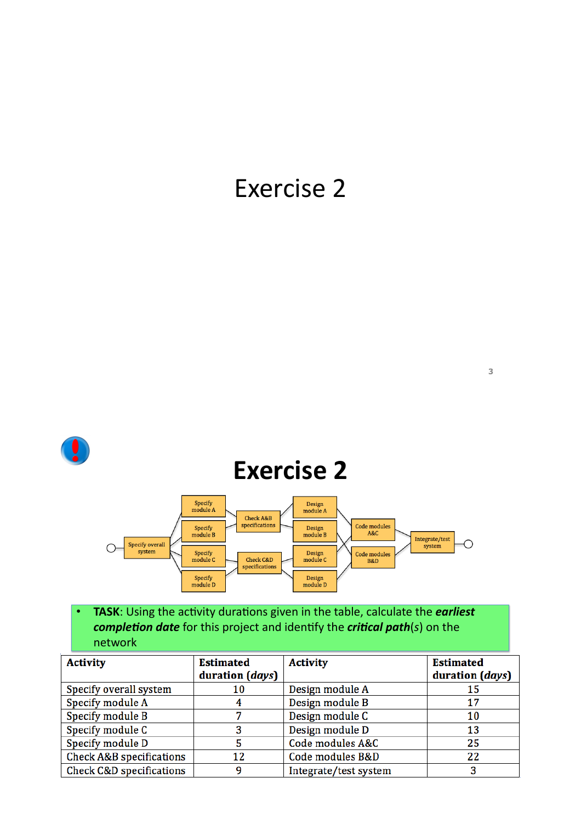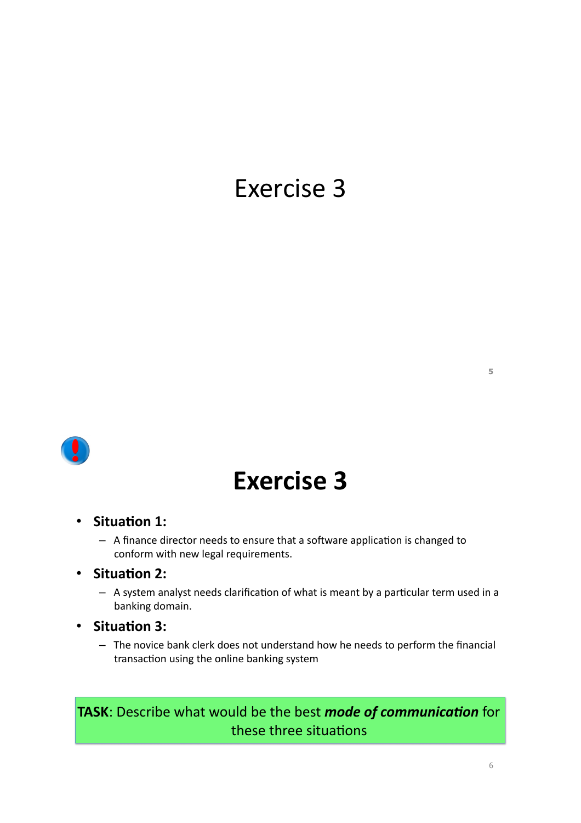

## **Exercise 3**

#### · Situation 1:

- A finance director needs to ensure that a software application is changed to conform with new legal requirements.
- Situation 2:
	- A system analyst needs clarification of what is meant by a particular term used in a banking domain.
- · Situation 3:
	- The novice bank clerk does not understand how he needs to perform the financial transaction using the online banking system

### TASK: Describe what would be the best mode of communication for these three situations

 $\overline{5}$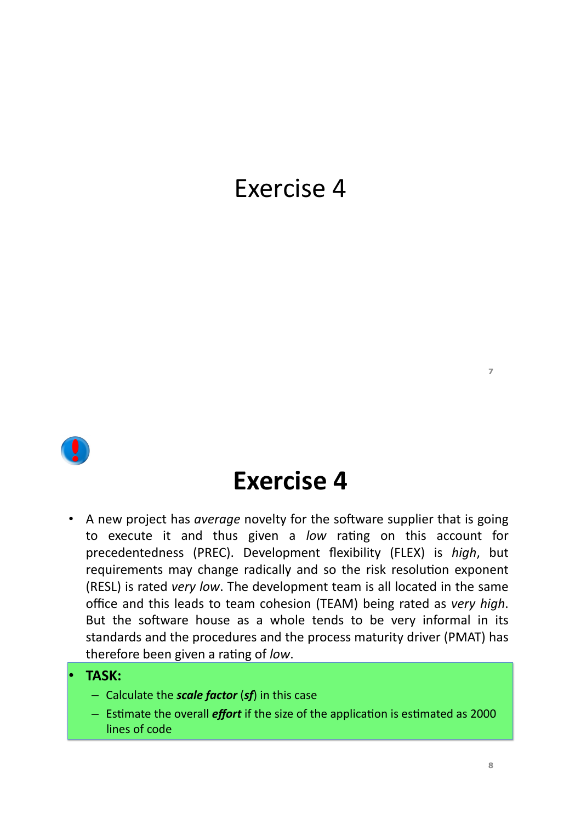

### **Exercise 4**

• A new project has average novelty for the software supplier that is going to execute it and thus given a low rating on this account for precedentedness (PREC). Development flexibility (FLEX) is high, but requirements may change radically and so the risk resolution exponent (RESL) is rated very low. The development team is all located in the same office and this leads to team cohesion (TEAM) being rated as very high. But the software house as a whole tends to be very informal in its standards and the procedures and the process maturity driver (PMAT) has therefore been given a rating of low.

#### **TASK:**

- Calculate the **scale factor** (sf) in this case
- $-$  Estimate the overall *effort* if the size of the application is estimated as 2000 lines of code

 $\overline{z}$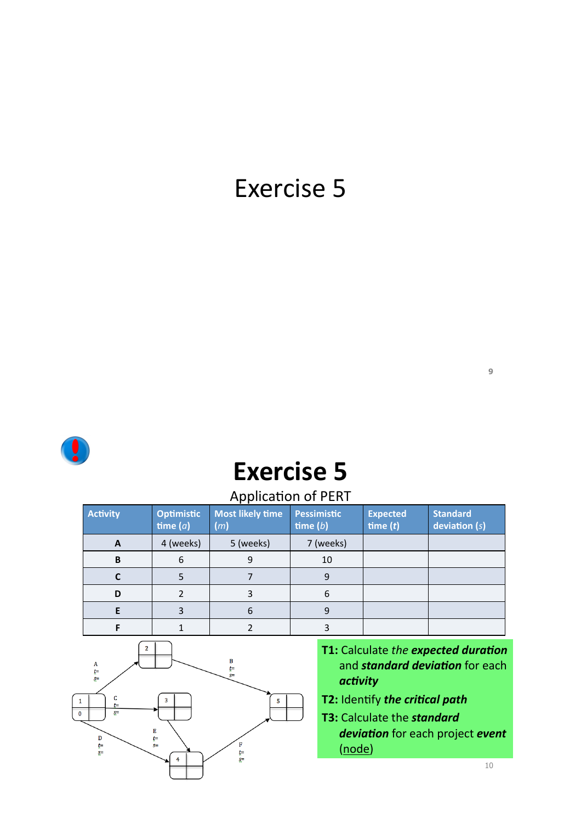

# **Exercise 5**

### Application of PERT

| <b>Activity</b> | <b>Optimistic</b><br>time $(a)$ | Most likely time<br>(m) | <b>Pessimistic</b><br>time $(b)$ | <b>Expected</b><br>time $(t)$ | <b>Standard</b><br>deviation $(s)$ |
|-----------------|---------------------------------|-------------------------|----------------------------------|-------------------------------|------------------------------------|
| A               | 4 (weeks)                       | 5 (weeks)               | 7 (weeks)                        |                               |                                    |
| B               | 6                               | 9                       | 10                               |                               |                                    |
|                 |                                 |                         | 9                                |                               |                                    |
| D               |                                 |                         | 6                                |                               |                                    |
| E               |                                 | 6                       | 9                                |                               |                                    |
| п               |                                 |                         |                                  |                               |                                    |



- **41**: Calculate the expected duration and **standard deviation** for each  $\alpha$ *ctivity*
- **42: Identify the critical path**
- **43**: Calculate the *standard deviation* for each project event  $(node)$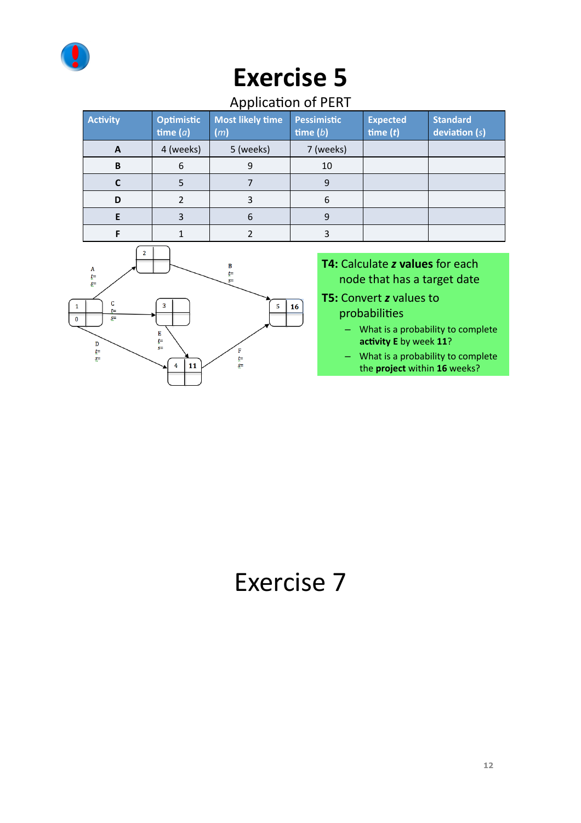

### **Application of PERT**

|  | <b>Activity</b> | <b>Optimistic</b><br>time $(a)$ | <b>Most likely time</b><br>(m) | <b>Pessimistic</b><br>time $(b)$ | <b>Expected</b><br>time $(t)$ | <b>Standard</b><br>deviation $(s)$ |
|--|-----------------|---------------------------------|--------------------------------|----------------------------------|-------------------------------|------------------------------------|
|  | A               | 4 (weeks)                       | 5 (weeks)                      | 7 (weeks)                        |                               |                                    |
|  | B               | 6                               | 9                              | 10                               |                               |                                    |
|  |                 |                                 |                                | ٩                                |                               |                                    |
|  | D               |                                 |                                | 6                                |                               |                                    |
|  |                 |                                 | 6                              |                                  |                               |                                    |
|  |                 |                                 |                                |                                  |                               |                                    |



#### T4: Calculate z values for each node that has a target date

**T5: Convert z values to** probabilities

- What is a probability to complete activity E by week 11?
- What is a probability to complete the project within 16 weeks?

# Exercise 7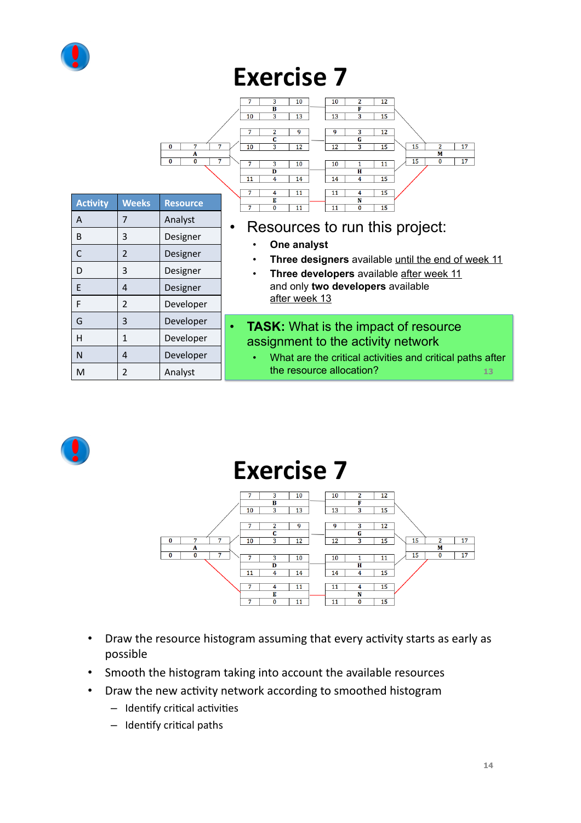

|                 |                |                    | 3<br>7<br>10<br>10<br>2<br>12<br>F<br>В<br>3<br>13<br>13<br>3<br>15<br>10                                                                      |  |  |  |
|-----------------|----------------|--------------------|------------------------------------------------------------------------------------------------------------------------------------------------|--|--|--|
|                 |                | 7<br>7<br>0<br>A   | $\overline{2}$<br>7<br>9<br>9<br>3<br>12<br>C<br>G<br>15<br>$\overline{a}$<br>17<br>10<br>3.<br>12<br>3<br>15<br>12<br>M                       |  |  |  |
|                 |                | 7<br>0<br>$\Omega$ | 17<br>15<br>0<br>7<br>3<br>10<br>10<br>11<br>1<br>$\overline{H}$<br>D<br>$\overline{4}$<br>4<br>15<br>11<br>14<br>14                           |  |  |  |
| <b>Activity</b> | <b>Weeks</b>   | <b>Resource</b>    | 7<br>15<br>4<br>11<br>11<br>4<br>Е<br>N<br>$\Omega$<br>11<br>15<br>7<br>11<br>$\Omega$                                                         |  |  |  |
| A               | $\overline{7}$ | Analyst            |                                                                                                                                                |  |  |  |
| B               | 3              | Designer           | Resources to run this project:                                                                                                                 |  |  |  |
| C               | 2              | Designer           | One analyst<br>Three designers available until the end of week 11<br>$\bullet$                                                                 |  |  |  |
| D               | 3              | Designer           | Three developers available after week 11<br>$\bullet$                                                                                          |  |  |  |
| E               | $\overline{4}$ | Designer           | and only two developers available                                                                                                              |  |  |  |
| F               | $\overline{2}$ | Developer          | after week 13                                                                                                                                  |  |  |  |
| G               | 3              | Developer          | <b>TASK:</b> What is the impact of resource<br>$\bullet$                                                                                       |  |  |  |
| H               | 1              | Developer          | assignment to the activity network<br>What are the critical activities and critical paths after<br>$\bullet$<br>the resource allocation?<br>13 |  |  |  |
| N               | 4              | Developer          |                                                                                                                                                |  |  |  |
| M               | $\overline{2}$ | Analyst            |                                                                                                                                                |  |  |  |



### **Exercise 7**



- Draw the resource histogram assuming that every activity starts as early as possible
- Smooth the histogram taking into account the available resources
- Draw the new activity network according to smoothed histogram
	- Identify critical activities
	- Identify critical paths